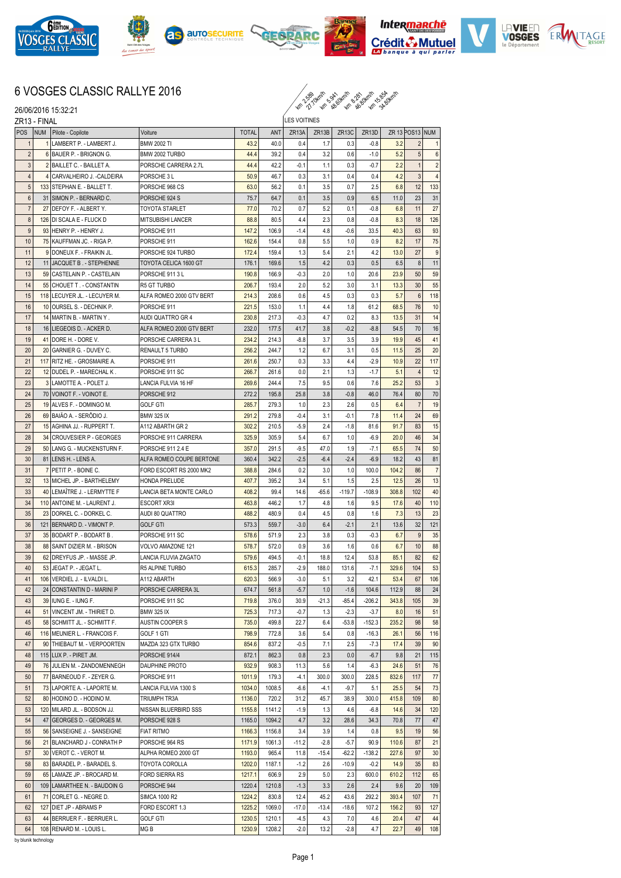

26/06/2016 15:32:21











## 6 VOSGES CLASSIC RALLYE 2016

km 2.59 km 8.99 km 3.99 km

ZR13 - FINAL POS NUM Pilote - Copilote Voiture Voiture TOTAL ANT ZR13A LES VOITINES ZR13B ZR13C ZR13D ZR 13 POS13 NUM LAMBERT P. - LAMBERT J. BMW 2002 TI  $\begin{vmatrix} 43.2 & 40.0 & 0.4 & 1.7 & 0.3 & -0.8 & 3.2 \end{vmatrix}$ 2 6 BAUER P. - BRIGNON G. BMW 2002 TURBO 44.4 39.2 0.4 3.2 0.6 -1.0 5.2 5 6 2 BAILLET C. - BAILLET A. PORSCHE CARRERA 2.7L 44.4 42.2 -0.1 1.1 0.3 -0.7 2.2 1 2 4 CARVALHEIRO J.-CALDEIRA PORSCHE 3 L 50.9 46.7 0.3 3.1 0.4 4.2 3 4 133 STEPHAN E.-BALLET T. PORSCHE 968 CS 63.0 56.2 0.1 3.5 0.7 2.5 6.8 12 133 6 31 SIMON P. - BERNARD C. PORSCHE 924 S 75.7 64.7 0.1 3.5 0.9 6.5 11.0 23 31 7 27 DEFOY F. - ALBERT Y. TOYOTA STARLET 77.0 70.2 0.7 5.2 0.1 -0.8 6.8 11 27 126 DI SCALA E - FLUCK D MITSUBISHI LANCER 88.8 80.5 4.4 2.3 0.8 -0.8 8.3 18 126 9 93 HENRY P. - HENRY J. PORSCHE 911 15 1472 106.9 -1.4 4.8 -0.6 33.5 40.3 63 93 10 75 KAUFFMAN JC. - RIGA P. PORSCHE 911 162.6 154.4 0.8 5.5 1.0 0.9 8.2 17 75 11 9 DONEUX F. - FRAIKIN JL. PORSCHE 924 TURBO 172.4 159.4 1.3 5.4 2.1 4.2 13.0 27 9 12 11 JACQUET B. - STEPHENNE TOYOTA CELICA 1600 GT 176.1 169.6 1.5 4.2 0.3 0.5 6.5 8 11 13 59 CASTELAIN P. - CASTELAIN PORSCHE 911 3 L 190.8 166.9 -0.3 2.0 1.0 20.6 23.9 50 59 14 55 CHOUET T . - CONSTANTIN R5 GT TURBO 206.7 193.4 2.0 5.2 3.0 3.1 13.3 30 55 15 118 LECUYER JL. - LECUYER M. ALFA ROMEO 2000 GTV BERT 214.3 208.6 0.6 4.5 0.3 0.3 5.7 6 118 16 10 OURSELS - DECHNIK P. PORSCHE 911 221.5 153.0 1.1 44 1.8 61.2 68.5 76 10 17 14 MARTIN B. - MARTIN Y . AUDI QUATTRO GR 4 230.8 217.3 -0.3 4.7 0.2 8.3 13.5 31 14 18 16 LIEGEOIS D. - ACKER D. ALFA ROMEO 2000 GTV BERT 232.0 177.5 41.7 3.8 -0.2 -8.8 54.5 70 16 19 41 DORE H. - DORE V. PORSCHE CARRERA 3 L 234.2 214.3 -8.8 3.7 3.5 3.9 19.9 45 41 20 CARNIER G. - DUVEY C. RENAULT 5 TURBO 256.2 244.7 1.2 6.7 3.1 0.5 11.5 25 20 21 117 RITZ HE. - GROSMAIRE A. PORSCHE 911 261.6 250.7 0.3 3.3 4.4 -2.9 10.9 22 117 22 12 DUDEL P. - MARECHAL K. PORSCHE 911 SC 266.7 261.6 0.0 2.1 1.3 -1.7 5.1 4 12 23 3 LAMOTTE A. - POLET J. LANCIA FULVIA 16 HF 269.6 244.4 7.5 9.5 0.6 7.6 25.2 53 3 24 70 VOINOT F. - VOINOT E. PORSCHE 912 272.2 195.8 25.8 3.8 3.8 46.0 76.4 80 70 25 19 ALVES F.- DOMINGO M. GOLF GTI 285.7 279.3 1.0 2.3 2.6 0.5 6.4 7 19 26 69 BAIÄO A. - SERÔDIO J. BMW 325 IX 291.2 279.8 -0.4 3.1 -0.1 7.8 11.4 24 69 27 15 AGHINA JJ. - RUPPERT T. A112 ABARTH GR 2 302.2 210.5 -5.9 2.4 -1.8 81.6 91.7 83 15 28 34 CROUVESIER P - GEORGES PORSCHE 911 CARRERA 325.9 305.9 5.4 6.7 1.0 - 6.9 20.0 46 34 29 50 LANG G. - MUCKENSTURN F. PORSCHE 911 2.4 E 357.0 291.5 -9.5 47.0 1.9 -7.1 65.5 74 50 30 81 LENS H. - LENS A. ALFA ROMEO COUPE BERTONE 360.4 342.2 -2.5 -6.4 -2.4 -6.9 18.2 43 81 31 7 PETIT P. - BOINE C. FORD ESCORT RS 2000 MK2 388.8 284.6 0.2 3.0 1.0 100.0 104.2 86 7 32 13 MICHEL JP. - BARTHELEMY HONDA PRELUDE 407.7 395.2 3.4 5.1 1.5 2.5 12.5 26 13 33 40 LEMAÎTRE J. - LERMYTTE F LANCIA BETA MONTE CARLO 408.2 99.4 14.6 -65.6 -119.7 -108.9 308.8 102 40 34 110 ANTOINE M. - LAURENT J. ESCORT XR3I 463.8 446.2 1.7 4.8 1.6 9.5 17.6 40 110 35 23 DORKEL C. - DORKEL C. AUDI 80 OUATTRO 480.0 | 488.2 480.9 0.4 | 45 | 68 | 48 | 73 | 13 | 23 36 121 BERNARD D. - VIMONT P. GOLF GTI 573.3 559.7 -3.0 6.4 -2.1 2.1 13.6 32 121 37 35 BODART P. - BODART B . PORSCHE 911 SC 578.6 571.9 2.3 3.8 0.3 -0.3 6.7 9 35 38 88 SAINT DIZIER M. - BRISON VOLVO AMAZONE 121 578.7 572.0 0.9 3.6 1.6 0.6 6.7 10 88 39 62 DREYFUS JP. - MASSE JP. LANCIA FLUVIA ZAGATO 579.6 494.5 -0.1 18.8 12.4 53.8 85.1 82 62 40 53 JEGAT P. - JEGAT L. R5 ALPINE TURBO 615.3 285.7 -2.9 188.0 131.6 -7.1 329.6 104 53 41 106 VERDIEL J. - ILVALDI L. A112 ABARTH 620.3 566.9 -3.0 5.1 3.2 42.1 53.4 67 106 42 24 CONSTANTIN D - MARINI P PORSCHE CARRERA 3L 674.7 561.8 -5.7 1.0 -1.6 104.6 112.9 88 24 43 39 IUNG E. - IUNG F. PORSCHE 911 SC 719.8 376.0 30.9 -21.3 -85.4 -206.2 343.8 105 39 44 51 VINCENT JM. - THIRIET D. BMW 325 IX 725.3 717.3 -0.7 1.3 -2.3 -3.7 8.0 16 51 45 58 SCHMITT JL. - SCHMITT F. AUSTIN COOPER S 735.0 499.8 22.7 6.4 -53.8 -152.3 235.2 98 58 46 116 MEUNIER L. - FRANCOIS F. GOLF 1 GTI 798.9 772.8 3.6 5.4 0.8 -16.3 26.1 56 116 47 90 THIEBAUT M. - VERPOORTEN MAZDA 323 GTX TURBO 854.6 837.2 -0.5 7.1 2.5 -7.3 17.4 39 90 48 115 LUX P. - PIRET JM. PORSCHE 914/4 872.1 862.3 0.8 2.3 0.0 -6.7 9.8 21 115 49 76 JULIEN M. - ZANDOMENNEGH DAUPHINE PROTO 932.9 908.3 11.3 5.6 1.4 -6.3 24.6 51 76 50 77 BARNEOUD F. - ZEYER G. PORSCHE 911 1011.9 179.3 4.1 300.0 300.0 228.5 832.6 117 77 51 73 LAPORTE A. - LAPORTE M. LANCIA FULVIA 1300 S 1034.0 1008.5 -6.6 -4.1 -9.7 5.1 25.5 54 73 52 80 HODINO D. - HODINO M. TRIUMPH TR3A 1136.0 720.2 31.2 45.7 38.9 300.0 415.8 109 80 53 120 MILARD JL. - BODSON JJ. NISSAN BLUERBIRD SSS 1155.8 1141.2 -1.9 1.3 4.6 -6.8 14.6 34 120 54 47 GEORGES D. - GEORGES M. PORSCHE 928 S 1165.0 1094.2 4.7 3.2 28.6 34.3 70.8 77 47 55 56 SANSEIGNE J. - SANSEIGNE FIAT RITMO 1156.8 1156.8 1156.8 3.4 3.9 1.4 0.8 9.5 19 56 56 21 BLANCHARD J - CONRATH P PORSCHE 964 RS 1171.9 1061.3 -11.2 -2.8 -5.7 90.9 110.6 87 21 57 30 VEROT C. - VEROT M. ALPHA ROMEO 2000 GT 1193.0 965.4 11.8 -15.4 -62.2 -138.2 227.6 97 30 58 83 BARADEL P. - BARADEL S. TOYOTA COROLLA 1202.0 1187.1 -1.2 2.6 -10.9 -0.2 14.9 35 83 59 65 LAMAZE JP. - BROCARD M. FORD SIERRA RS 1217.1 606.9 2.9 5.0 2.3 600.0 610.2 112 65 60 109 LAMARTHEE N. - BAUDOIN G PORSCHE 944 1220.4 1210.8 -1.3 3.3 2.6 2.4 9.6 20 109 61 71 CORLET G. - NEGRE D. SIMCA 1000 R2 1224.2 830.8 12.4 45.2 43.6 292.2 393.4 107 71 62 127 DIET JP - ABRAMS P FORD ESCORT 1.3 1225.2 1069.0 -17.0 -13.4 -18.6 107.2 156.2 93 127 63 44 BERRUER F. - BERRUER L. GOLF GTI 1230.5 1210.1 -4.5 4.3 7.0 4.6 20.4 47 44 64 108 RENARD M. - LOUIS L. MG B 1230.9 1208.2 -2.0 13.2 -2.8 4.7 22.7 49 108

by blunik technology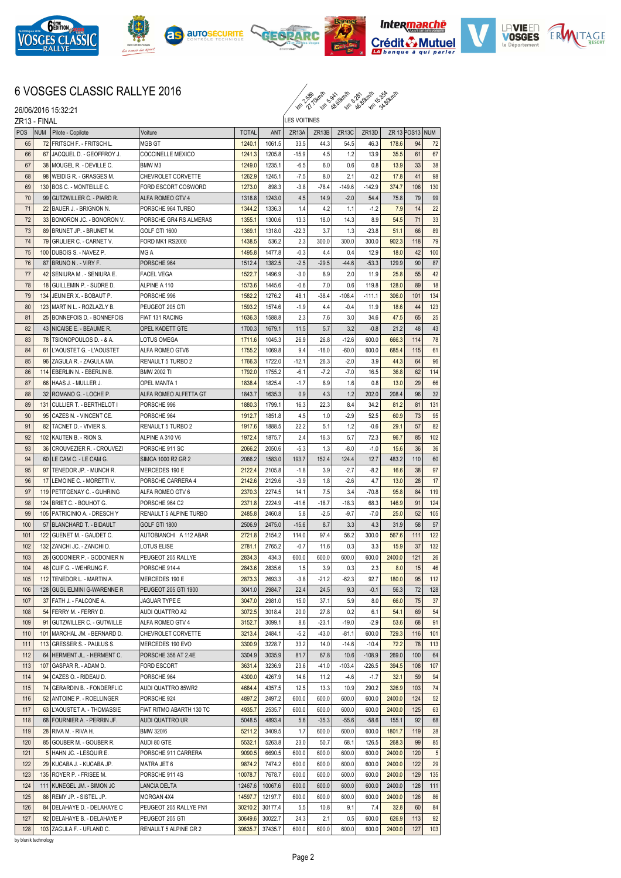











## 6 VOSGES CLASSIC RALLYE 2016

km 2.59 km 8.99 km 3.99 km

|     |                                     |                                 |                           |              |                                       |                     |                    | 14 11, 14 18 18 16 18 19 19 19 |          |        |     |     |  |
|-----|-------------------------------------|---------------------------------|---------------------------|--------------|---------------------------------------|---------------------|--------------------|--------------------------------|----------|--------|-----|-----|--|
|     | 26/06/2016 15:32:21<br>ZR13 - FINAL |                                 |                           |              |                                       | <b>LES VOITINES</b> |                    |                                |          |        |     |     |  |
|     |                                     |                                 |                           |              | ZR 13 POS13 NUM<br>ZR <sub>13</sub> D |                     |                    |                                |          |        |     |     |  |
| POS | <b>NUM</b>                          | Pilote - Copilote               | Voiture                   | <b>TOTAL</b> | ANT                                   | ZR <sub>13</sub> A  | ZR <sub>13</sub> B | ZR <sub>13C</sub>              |          |        |     |     |  |
| 65  |                                     | 72 FRITSCH F. - FRITSCH L.      | MGB GT                    | 1240.1       | 1061.5                                | 33.5                | 44.3               | 54.5                           | 46.3     | 178.6  | 94  | 72  |  |
| 66  | 67                                  | JACQUEL D. - GEOFFROY J.        | COCCINELLE MEXICO         | 1241.3       | 1205.8                                | $-15.9$             | 4.5                | 1.2                            | 13.9     | 35.5   | 61  | 67  |  |
| 67  |                                     | 38 MOUGEL R. - DEVILLE C.       | BMW M3                    | 1249.0       | 1235.1                                | $-6.5$              | 6.0                | 0.6                            | 0.8      | 13.9   | 33  | 38  |  |
| 68  |                                     | 98 WEIDIG R. - GRASGES M.       | <b>CHEVROLET CORVETTE</b> | 1262.9       | 1245.1                                | $-7.5$              | 8.0                | 2.1                            | $-0.2$   | 17.8   | 41  | 98  |  |
| 69  |                                     | 130 BOS C. - MONTEILLE C.       | FORD ESCORT COSWORD       | 1273.0       | 898.3                                 | $-3.8$              | $-78.4$            | $-149.6$                       | $-142.9$ | 374.7  | 106 | 130 |  |
| 70  |                                     | 99 GUTZWILLER C. - PIARD R.     | ALFA ROMEO GTV 4          | 1318.8       | 1243.0                                | 4.5                 | 14.9               | $-2.0$                         | 54.4     | 75.8   | 79  | 99  |  |
| 71  |                                     | 22 BAUER J. - BRIGNON N.        | PORSCHE 964 TURBO         | 1344.2       | 1336.3                                | 1.4                 | 4.2                | 1.1                            | $-1.2$   | 7.9    | 14  | 22  |  |
| 72  |                                     | 33 BONORON JC. - BONORON V.     | PORSCHE GR4 RS ALMERAS    | 1355.1       | 1300.6                                | 13.3                | 18.0               | 14.3                           | 8.9      | 54.5   | 71  | 33  |  |
| 73  |                                     | 89 BRUNET JP. - BRUNET M.       | <b>GOLF GTI 1600</b>      | 1369.1       | 1318.0                                | $-22.3$             | 3.7                | 1.3                            | $-23.8$  | 51.1   | 66  | 89  |  |
| 74  |                                     | 79 GRULIER C. - CARNET V.       | FORD MK1 RS2000           | 1438.5       | 536.2                                 | 2.3                 | 300.0              | 300.0                          | 300.0    | 902.3  | 118 | 79  |  |
| 75  |                                     | 100 DUBOIS S. - NAVEZ P.        | MG A                      | 1495.8       | 1477.8                                | $-0.3$              | 4.4                | 0.4                            | 12.9     | 18.0   | 42  | 100 |  |
| 76  |                                     | 87 BRUNO N. - VIRY F.           | PORSCHE 964               | 1512.4       | 1382.5                                | $-2.5$              | $-29.5$            | $-44.6$                        | $-53.3$  | 129.9  | 90  | 87  |  |
| 77  | 42 <sup>1</sup>                     | SENIURA M. - SENIURA E.         | <b>FACEL VEGA</b>         | 1522.7       | 1496.9                                | $-3.0$              | 8.9                | 2.0                            | 11.9     | 25.8   | 55  | 42  |  |
| 78  |                                     | 18 GUILLEMIN P. - SUDRE D.      | ALPINE A 110              | 1573.6       | 1445.6                                | $-0.6$              | 7.0                | 0.6                            | 119.8    | 128.0  | 89  | 18  |  |
| 79  | 134                                 | JEUNIER X. - BOBAUT P.          | PORSCHE 996               | 1582.2       | 1276.2                                | 48.1                | $-38.4$            | -108.4                         | $-111.1$ | 306.0  | 101 | 134 |  |
| 80  |                                     | 123 MARTIN L. - ROZLAZLY B.     | PEUGEOT 205 GTI           | 1593.2       | 1574.6                                | $-1.9$              | 4.4                | $-0.4$                         | 11.9     | 18.6   | 44  | 123 |  |
| 81  | 25                                  | BONNEFOIS D. - BONNEFOIS        | FIAT 131 RACING           | 1636.3       | 1588.8                                | 2.3                 | 7.6                | 3.0                            | 34.6     | 47.5   | 65  | 25  |  |
| 82  |                                     | 43 NICAISE E. - BEAUME R.       | OPEL KADETT GTE           | 1700.3       | 1679.1                                | 11.5                | 5.7                | 3.2                            | $-0.8$   | 21.2   | 48  | 43  |  |
| 83  |                                     | 78 TSIONOPOULOS D. - & A.       | <b>LOTUS OMEGA</b>        | 1711.6       | 1045.3                                | 26.9                | 26.8               | $-12.6$                        | 600.0    | 666.3  | 114 | 78  |  |
| 84  |                                     | 61 L'AOUSTET G. - L'AOUSTET     | ALFA ROMEO GTV6           | 1755.2       | 1069.8                                | 9.4                 | $-16.0$            | $-60.0$                        | 600.0    | 685.4  | 115 | 61  |  |
| 85  |                                     | 96 ZAGULA R. - ZAGULA MA.       | RENAULT 5 TURBO 2         | 1766.3       | 1722.0                                | $-12.1$             | 26.3               | $-2.0$                         | 3.9      | 44.3   | 64  | 96  |  |
| 86  |                                     | 114 EBERLIN N. - EBERLIN B.     | <b>BMW 2002 TI</b>        | 1792.0       | 1755.2                                | -6.1                | $-7.2$             | $-7.0$                         | 16.5     | 36.8   | 62  | 114 |  |
| 87  |                                     | 66 HAAS J. - MULLER J.          | OPEL MANTA 1              | 1838.4       | 1825.4                                | $-1.7$              | 8.9                | 1.6                            | 0.8      | 13.0   | 29  | 66  |  |
| 88  |                                     | 32 ROMANO G. - LOCHE P.         | ALFA ROMEO ALFETTA GT     | 1843.7       | 1635.3                                | 0.9                 | 4.3                | 1.2                            | 202.0    | 208.4  | 96  | 32  |  |
| 89  | 131                                 | <b>CULLIER T. - BERTHELOT I</b> | PORSCHE 996               | 1880.3       | 1799.1                                | 16.3                | 22.3               | 8.4                            | 34.2     | 81.2   | 81  | 131 |  |
| 90  |                                     | 95 CAZES N. - VINCENT CE.       | PORSCHE 964               | 1912.7       | 1851.8                                | 4.5                 | 1.0                | $-2.9$                         | 52.5     | 60.9   | 73  | 95  |  |
| 91  |                                     | 82 TACNET D. - VIVIER S.        | RENAULT 5 TURBO 2         | 1917.6       | 1888.5                                | 22.2                | 5.1                | 1.2                            | $-0.6$   | 29.1   | 57  | 82  |  |
| 92  |                                     | 102 KAUTEN B. - RION S.         | ALPINE A 310 V6           | 1972.4       | 1875.7                                | 2.4                 | 16.3               | 5.7                            | 72.3     | 96.7   | 85  | 102 |  |
| 93  | 36                                  | CROUVEZIER R. - CROUVEZI        | PORSCHE 911 SC            | 2066.2       | 2050.6                                | $-5.3$              | 1.3                | $-8.0$                         | $-1.0$   | 15.6   | 36  | 36  |  |
| 94  |                                     | 60   LE CAM C. - LE CAM G.      | SIMCA 1000 R2 GR 2        | 2066.2       | 1583.0                                | 193.7               | 152.4              | 124.4                          | 12.7     | 483.2  | 110 | 60  |  |
| 95  |                                     | 97 TENEDOR JP. - MUNCH R.       | MERCEDES 190 E            | 2122.4       | 2105.8                                | $-1.8$              | 3.9                | $-2.7$                         | $-8.2$   | 16.6   | 38  | 97  |  |
| 96  | 17                                  | LEMOINE C. - MORETTI V.         | PORSCHE CARRERA 4         | 2142.6       | 2129.6                                | $-3.9$              | 1.8                | $-2.6$                         | 4.7      | 13.0   | 28  | 17  |  |
| 97  |                                     | 119 PETITGENAY C. - GUHRING     | ALFA ROMEO GTV 6          | 2370.3       | 2274.5                                | 14.1                | 7.5                | 3.4                            | $-70.8$  | 95.8   | 84  | 119 |  |
| 98  |                                     | 124 BRIET C. - BOUHOT G.        | PORSCHE 964 C2            | 2371.8       | 2224.9                                | $-41.6$             | $-18.7$            | $-18.3$                        | 68.3     | 146.9  | 91  | 124 |  |
| 99  |                                     | 105 PATRICINIO A. - DRESCH Y    | RENAULT 5 ALPINE TURBO    | 2485.8       | 2460.8                                | 5.8                 | $-2.5$             | $-9.7$                         | $-7.0$   | 25.0   | 52  | 105 |  |
| 100 |                                     | 57 BLANCHARD T. - BIDAULT       | GOLF GTI 1800             | 2506.9       | 2475.0                                | $-15.6$             | 8.7                | 3.3                            | 4.3      | 31.9   | 58  | 57  |  |
| 101 |                                     | 122 GUENET M. - GAUDET C.       | AUTOBIANCHI A 112 ABAR    | 2721.8       | 2154.2                                | 114.0               | 97.4               | 56.2                           | 300.0    | 567.6  | 111 | 122 |  |
| 102 |                                     | 132 ZANCHI JC. - ZANCHI D.      | <b>LOTUS ELISE</b>        | 2781.1       | 2765.2                                | $-0.7$              | 11.6               | 0.3                            | 3.3      | 15.9   | 37  | 132 |  |
| 103 |                                     | 26 GODONIER P. - GODONIER N     | PEUGEOT 205 RALLYE        | 2834.3       | 434.3                                 | 600.0               | 600.0              | 600.0                          | 600.0    | 2400.0 | 121 | 26  |  |
| 104 | 46                                  | CUIF G. - WEHRUNG F.            | PORSCHE 914-4             | 2843.6       | 2835.6                                | 1.5                 | 3.9                | 0.3                            | 2.3      | 8.0    | 15  | 46  |  |
| 105 |                                     | 112 TENEDOR L. - MARTIN A.      | MERCEDES 190 E            | 2873.3       | 2693.3                                | $-3.8$              | $-21.2$            | $-62.3$                        | 92.7     | 180.0  | 95  | 112 |  |
| 106 |                                     | 128 GUGLIELMINI G-WARENNE R     | PEUGEOT 205 GTI 1900      | 3041.0       | 2984.7                                | 22.4                | 24.5               | 9.3                            | $-0.1$   | 56.3   | 72  | 128 |  |
| 107 |                                     | 37 FATH J. - FALCONE A.         | JAGUAR TYPE E             | 3047.0       | 2981.0                                | 15.0                | 37.1               | 5.9                            | 8.0      | 66.0   | 75  | 37  |  |
| 108 |                                     | 54 FERRY M. - FERRY D.          | AUDI QUATTRO A2           | 3072.5       | 3018.4                                | 20.0                | 27.8               | 0.2                            | 6.1      | 54.1   | 69  | 54  |  |
| 109 |                                     | 91 GUTZWILLER C. - GUTWILLE     | ALFA ROMEO GTV 4          | 3152.7       | 3099.1                                | 8.6                 | $-23.1$            | $-19.0$                        | $-2.9$   | 53.6   | 68  | 91  |  |
| 110 |                                     | 101   MARCHAL JM. - BERNARD D.  | CHEVROLET CORVETTE        | 3213.4       | 2484.1                                | $-5.2$              | $-43.0$            | $-81.1$                        | 600.0    | 729.3  | 116 | 101 |  |
| 111 | 113                                 | GRESSER S. - PAULUS S.          | MERCEDES 190 EVO          | 3300.9       | 3228.7                                | 33.2                | 14.0               | $-14.6$                        | $-10.4$  | 72.2   | 78  | 113 |  |
| 112 |                                     | 64 HERMENT JL. - HERMENT C.     | PORSCHE 356 AT 2.4E       | 3304.9       | 3035.9                                | 81.7                | 67.8               | 10.6                           | $-108.9$ | 269.0  | 100 | 64  |  |
| 113 | 107                                 | GASPAR R. - ADAM D.             | <b>FORD ESCORT</b>        | 3631.4       | 3236.9                                | 23.6                | $-41.0$            | $-103.4$                       | $-226.5$ | 394.5  | 108 | 107 |  |
| 114 |                                     | 94 CAZES O. - RIDEAU D.         | PORSCHE 964               | 4300.0       | 4267.9                                | 14.6                | 11.2               | $-4.6$                         | $-1.7$   | 32.1   | 59  | 94  |  |
| 115 |                                     | 74 GERARDIN B. - FONDERFLIC     | AUDI QUATTRO 85WR2        | 4684.4       | 4357.5                                | 12.5                | 13.3               | 10.9                           | 290.2    | 326.9  | 103 | 74  |  |
| 116 |                                     | 52 ANTOINE P. - ROELLINGER      | PORSCHE 924               | 4897.2       | 2497.2                                | 600.0               | 600.0              | 600.0                          | 600.0    | 2400.0 | 124 | 52  |  |
| 117 |                                     | 63 L'AOUSTET A. - THOMASSIE     | FIAT RITMO ABARTH 130 TC  | 4935.7       | 2535.7                                | 600.0               | 600.0              | 600.0                          | 600.0    | 2400.0 | 125 | 63  |  |
|     |                                     |                                 |                           |              |                                       |                     |                    |                                |          |        |     |     |  |
| 118 |                                     | 68 FOURNIER A. - PERRIN JF.     | AUDI QUATTRO UR           | 5048.5       | 4893.4                                | 5.6                 | $-35.3$            | $-55.6$                        | $-58.6$  | 155.1  | 92  | 68  |  |
| 119 |                                     | 28 RIVA M. - RIVA H.            | BMW 320/6                 | 5211.2       | 3409.5                                | 1.7                 | 600.0              | 600.0                          | 600.0    | 1801.7 | 119 | 28  |  |
| 120 |                                     | 85 GOUBER M. - GOUBER R.        | AUDI 80 GTE               | 5532.1       | 5263.8                                | 23.0                | 50.7               | 68.1                           | 126.5    | 268.3  | 99  | 85  |  |
| 121 |                                     | 5 HAHN JC. - LESQUIR E.         | PORSCHE 911 CARRERA       | 9090.5       | 6690.5                                | 600.0               | 600.0              | 600.0                          | 600.0    | 2400.0 | 120 | 5   |  |
| 122 |                                     | 29 KUCABA J. - KUCABA JP.       | MATRA JET 6               | 9874.2       | 7474.2                                | 600.0               | 600.0              | 600.0                          | 600.0    | 2400.0 | 122 | 29  |  |
| 123 |                                     | 135 ROYER P. - FRISEE M.        | PORSCHE 911 4S            | 10078.7      | 7678.7                                | 600.0               | 600.0              | 600.0                          | 600.0    | 2400.0 | 129 | 135 |  |
| 124 |                                     | 111 KUNEGEL JM. - SIMON JC      | LANCIA DELTA              | 12467.6      | 10067.6                               | 600.0               | 600.0              | 600.0                          | 600.0    | 2400.0 | 128 | 111 |  |
| 125 |                                     | 86 REMY JP. - SISTEL JP.        | MORGAN 4X4                | 14597.7      | 12197.7                               | 600.0               | 600.0              | 600.0                          | 600.0    | 2400.0 | 126 | 86  |  |
| 126 |                                     | 84 DELAHAYE D. - DELAHAYE C     | PEUGEOT 205 RALLYE FN1    | 30210.2      | 30177.4                               | 5.5                 | 10.8               | 9.1                            | 7.4      | 32.8   | 60  | 84  |  |
| 127 |                                     | 92 DELAHAYE B. - DELAHAYE P     | PEUGEOT 205 GTI           | 30649.6      | 30022.7                               | 24.3                | 2.1                | 0.5                            | 600.0    | 626.9  | 113 | 92  |  |
| 128 |                                     | 103 ZAGULA F. - UFLAND C.       | RENAULT 5 ALPINE GR 2     |              | 39835.7 37435.7                       | 600.0               | 600.0              | 600.0                          | 600.0    | 2400.0 | 127 | 103 |  |

128 103 Z<br>by blunik technology